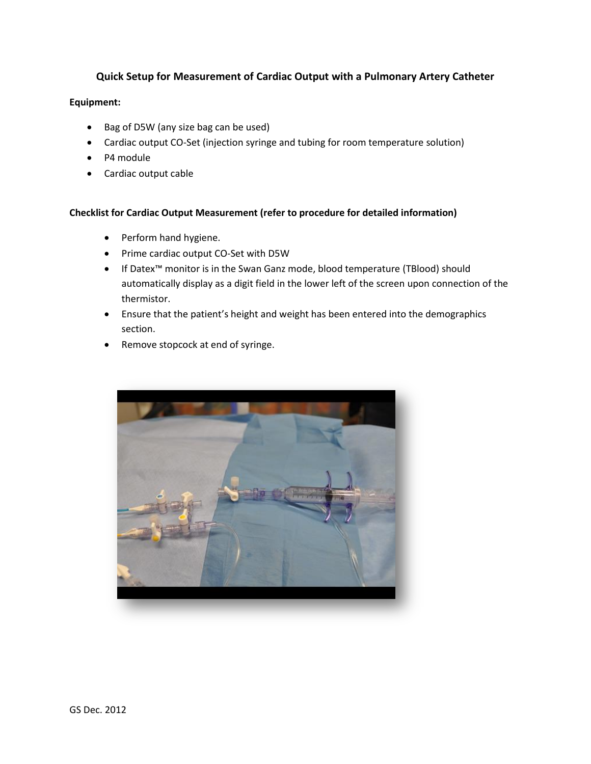## **Quick Setup for Measurement of Cardiac Output with a Pulmonary Artery Catheter**

## **Equipment:**

- Bag of D5W (any size bag can be used)
- Cardiac output CO-Set (injection syringe and tubing for room temperature solution)
- P4 module
- Cardiac output cable

## **Checklist for Cardiac Output Measurement (refer to procedure for detailed information)**

- Perform hand hygiene.
- Prime cardiac output CO-Set with D5W
- If Datex<sup>™</sup> monitor is in the Swan Ganz mode, blood temperature (TBlood) should automatically display as a digit field in the lower left of the screen upon connection of the thermistor.
- Ensure that the patient's height and weight has been entered into the demographics section.
- Remove stopcock at end of syringe.

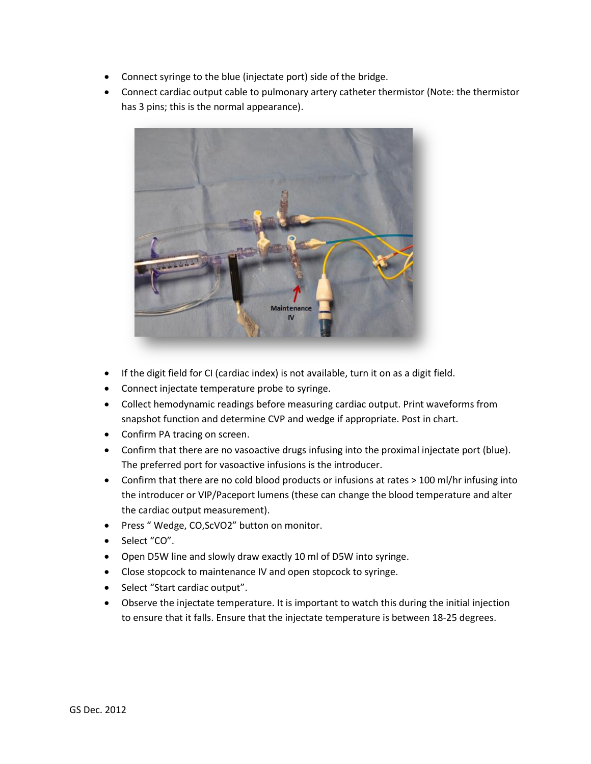- Connect syringe to the blue (injectate port) side of the bridge.
- Connect cardiac output cable to pulmonary artery catheter thermistor (Note: the thermistor has 3 pins; this is the normal appearance).



- If the digit field for CI (cardiac index) is not available, turn it on as a digit field.
- Connect injectate temperature probe to syringe.
- Collect hemodynamic readings before measuring cardiac output. Print waveforms from snapshot function and determine CVP and wedge if appropriate. Post in chart.
- Confirm PA tracing on screen.
- Confirm that there are no vasoactive drugs infusing into the proximal injectate port (blue). The preferred port for vasoactive infusions is the introducer.
- Confirm that there are no cold blood products or infusions at rates > 100 ml/hr infusing into the introducer or VIP/Paceport lumens (these can change the blood temperature and alter the cardiac output measurement).
- Press "Wedge, CO,ScVO2" button on monitor.
- Select "CO".
- Open D5W line and slowly draw exactly 10 ml of D5W into syringe.
- Close stopcock to maintenance IV and open stopcock to syringe.
- Select "Start cardiac output".
- Observe the injectate temperature. It is important to watch this during the initial injection to ensure that it falls. Ensure that the injectate temperature is between 18-25 degrees.